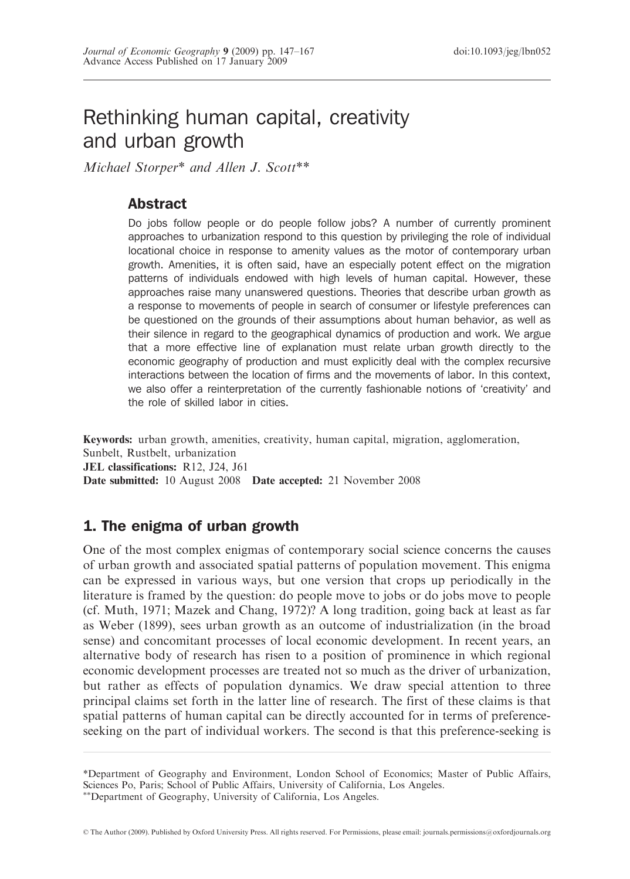# Rethinking human capital, creativity and urban growth

Michael Storper\* and Allen J. Scott\*\*

# Abstract

Do jobs follow people or do people follow jobs? A number of currently prominent approaches to urbanization respond to this question by privileging the role of individual locational choice in response to amenity values as the motor of contemporary urban growth. Amenities, it is often said, have an especially potent effect on the migration patterns of individuals endowed with high levels of human capital. However, these approaches raise many unanswered questions. Theories that describe urban growth as a response to movements of people in search of consumer or lifestyle preferences can be questioned on the grounds of their assumptions about human behavior, as well as their silence in regard to the geographical dynamics of production and work. We argue that a more effective line of explanation must relate urban growth directly to the economic geography of production and must explicitly deal with the complex recursive interactions between the location of firms and the movements of labor. In this context, we also offer a reinterpretation of the currently fashionable notions of 'creativity' and the role of skilled labor in cities.

Keywords: urban growth, amenities, creativity, human capital, migration, agglomeration, Sunbelt, Rustbelt, urbanization JEL classifications: R12, J24, J61 Date submitted: 10 August 2008 Date accepted: 21 November 2008

# 1. The enigma of urban growth

One of the most complex enigmas of contemporary social science concerns the causes of urban growth and associated spatial patterns of population movement. This enigma can be expressed in various ways, but one version that crops up periodically in the literature is framed by the question: do people move to jobs or do jobs move to people (cf. Muth, 1971; Mazek and Chang, 1972)? A long tradition, going back at least as far as Weber (1899), sees urban growth as an outcome of industrialization (in the broad sense) and concomitant processes of local economic development. In recent years, an alternative body of research has risen to a position of prominence in which regional economic development processes are treated not so much as the driver of urbanization, but rather as effects of population dynamics. We draw special attention to three principal claims set forth in the latter line of research. The first of these claims is that spatial patterns of human capital can be directly accounted for in terms of preferenceseeking on the part of individual workers. The second is that this preference-seeking is

Department of Geography, University of California, Los Angeles.

<sup>\*</sup>Department of Geography and Environment, London School of Economics; Master of Public Affairs, Sciences Po, Paris; School of Public Affairs, University of California, Los Angeles.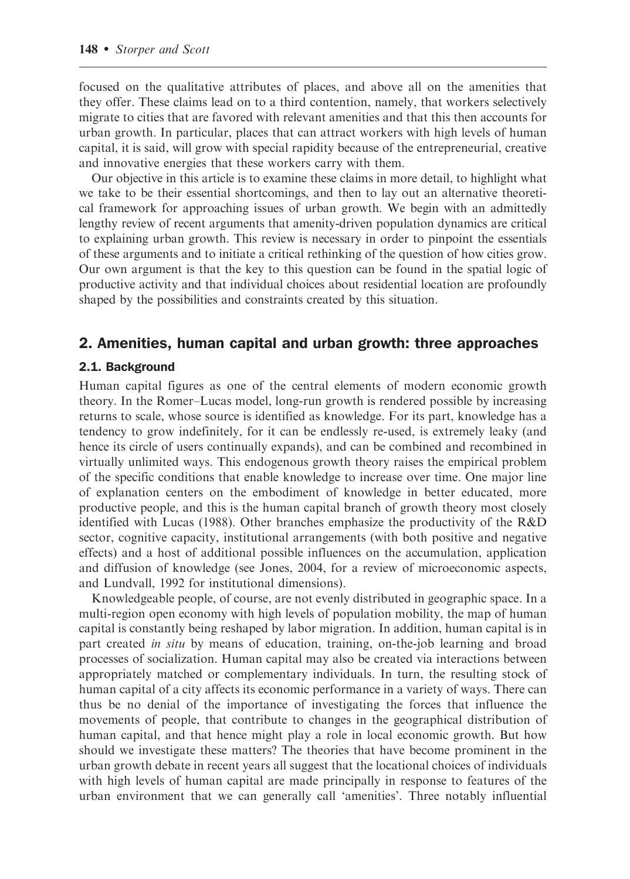focused on the qualitative attributes of places, and above all on the amenities that they offer. These claims lead on to a third contention, namely, that workers selectively migrate to cities that are favored with relevant amenities and that this then accounts for urban growth. In particular, places that can attract workers with high levels of human capital, it is said, will grow with special rapidity because of the entrepreneurial, creative and innovative energies that these workers carry with them.

Our objective in this article is to examine these claims in more detail, to highlight what we take to be their essential shortcomings, and then to lay out an alternative theoretical framework for approaching issues of urban growth. We begin with an admittedly lengthy review of recent arguments that amenity-driven population dynamics are critical to explaining urban growth. This review is necessary in order to pinpoint the essentials of these arguments and to initiate a critical rethinking of the question of how cities grow. Our own argument is that the key to this question can be found in the spatial logic of productive activity and that individual choices about residential location are profoundly shaped by the possibilities and constraints created by this situation.

## 2. Amenities, human capital and urban growth: three approaches

### 2.1. Background

Human capital figures as one of the central elements of modern economic growth theory. In the Romer–Lucas model, long-run growth is rendered possible by increasing returns to scale, whose source is identified as knowledge. For its part, knowledge has a tendency to grow indefinitely, for it can be endlessly re-used, is extremely leaky (and hence its circle of users continually expands), and can be combined and recombined in virtually unlimited ways. This endogenous growth theory raises the empirical problem of the specific conditions that enable knowledge to increase over time. One major line of explanation centers on the embodiment of knowledge in better educated, more productive people, and this is the human capital branch of growth theory most closely identified with Lucas (1988). Other branches emphasize the productivity of the R&D sector, cognitive capacity, institutional arrangements (with both positive and negative effects) and a host of additional possible influences on the accumulation, application and diffusion of knowledge (see Jones, 2004, for a review of microeconomic aspects, and Lundvall, 1992 for institutional dimensions).

Knowledgeable people, of course, are not evenly distributed in geographic space. In a multi-region open economy with high levels of population mobility, the map of human capital is constantly being reshaped by labor migration. In addition, human capital is in part created in situ by means of education, training, on-the-job learning and broad processes of socialization. Human capital may also be created via interactions between appropriately matched or complementary individuals. In turn, the resulting stock of human capital of a city affects its economic performance in a variety of ways. There can thus be no denial of the importance of investigating the forces that influence the movements of people, that contribute to changes in the geographical distribution of human capital, and that hence might play a role in local economic growth. But how should we investigate these matters? The theories that have become prominent in the urban growth debate in recent years all suggest that the locational choices of individuals with high levels of human capital are made principally in response to features of the urban environment that we can generally call 'amenities'. Three notably influential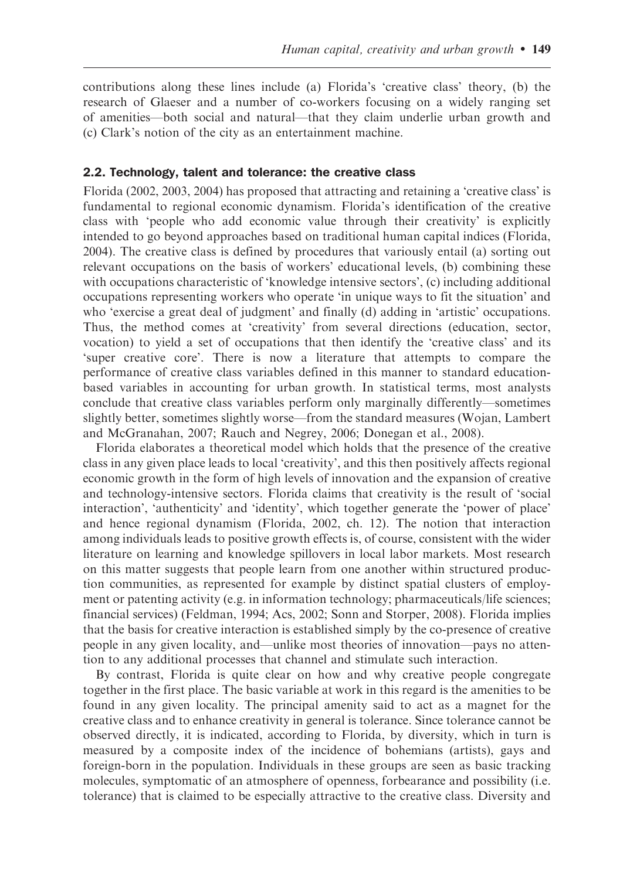contributions along these lines include (a) Florida's 'creative class' theory, (b) the research of Glaeser and a number of co-workers focusing on a widely ranging set of amenities—both social and natural—that they claim underlie urban growth and (c) Clark's notion of the city as an entertainment machine.

#### 2.2. Technology, talent and tolerance: the creative class

Florida (2002, 2003, 2004) has proposed that attracting and retaining a 'creative class' is fundamental to regional economic dynamism. Florida's identification of the creative class with 'people who add economic value through their creativity' is explicitly intended to go beyond approaches based on traditional human capital indices (Florida, 2004). The creative class is defined by procedures that variously entail (a) sorting out relevant occupations on the basis of workers' educational levels, (b) combining these with occupations characteristic of 'knowledge intensive sectors', (c) including additional occupations representing workers who operate 'in unique ways to fit the situation' and who 'exercise a great deal of judgment' and finally (d) adding in 'artistic' occupations. Thus, the method comes at 'creativity' from several directions (education, sector, vocation) to yield a set of occupations that then identify the 'creative class' and its 'super creative core'. There is now a literature that attempts to compare the performance of creative class variables defined in this manner to standard educationbased variables in accounting for urban growth. In statistical terms, most analysts conclude that creative class variables perform only marginally differently—sometimes slightly better, sometimes slightly worse—from the standard measures (Wojan, Lambert and McGranahan, 2007; Rauch and Negrey, 2006; Donegan et al., 2008).

Florida elaborates a theoretical model which holds that the presence of the creative class in any given place leads to local 'creativity', and this then positively affects regional economic growth in the form of high levels of innovation and the expansion of creative and technology-intensive sectors. Florida claims that creativity is the result of 'social interaction', 'authenticity' and 'identity', which together generate the 'power of place' and hence regional dynamism (Florida, 2002, ch. 12). The notion that interaction among individuals leads to positive growth effects is, of course, consistent with the wider literature on learning and knowledge spillovers in local labor markets. Most research on this matter suggests that people learn from one another within structured production communities, as represented for example by distinct spatial clusters of employment or patenting activity (e.g. in information technology; pharmaceuticals/life sciences; financial services) (Feldman, 1994; Acs, 2002; Sonn and Storper, 2008). Florida implies that the basis for creative interaction is established simply by the co-presence of creative people in any given locality, and—unlike most theories of innovation—pays no attention to any additional processes that channel and stimulate such interaction.

By contrast, Florida is quite clear on how and why creative people congregate together in the first place. The basic variable at work in this regard is the amenities to be found in any given locality. The principal amenity said to act as a magnet for the creative class and to enhance creativity in general is tolerance. Since tolerance cannot be observed directly, it is indicated, according to Florida, by diversity, which in turn is measured by a composite index of the incidence of bohemians (artists), gays and foreign-born in the population. Individuals in these groups are seen as basic tracking molecules, symptomatic of an atmosphere of openness, forbearance and possibility (i.e. tolerance) that is claimed to be especially attractive to the creative class. Diversity and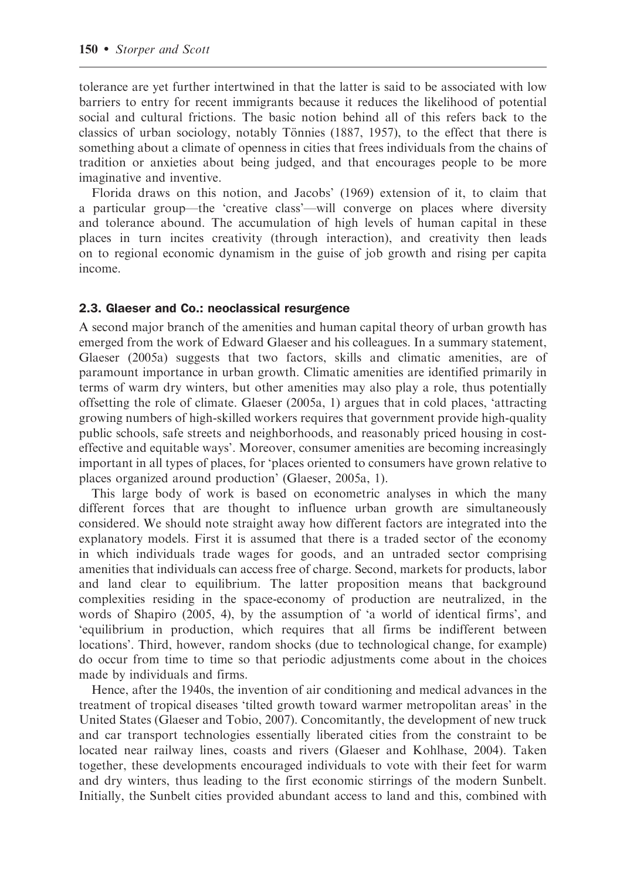tolerance are yet further intertwined in that the latter is said to be associated with low barriers to entry for recent immigrants because it reduces the likelihood of potential social and cultural frictions. The basic notion behind all of this refers back to the classics of urban sociology, notably Tönnies  $(1887, 1957)$ , to the effect that there is something about a climate of openness in cities that frees individuals from the chains of tradition or anxieties about being judged, and that encourages people to be more imaginative and inventive.

Florida draws on this notion, and Jacobs' (1969) extension of it, to claim that a particular group—the 'creative class'—will converge on places where diversity and tolerance abound. The accumulation of high levels of human capital in these places in turn incites creativity (through interaction), and creativity then leads on to regional economic dynamism in the guise of job growth and rising per capita income.

#### 2.3. Glaeser and Co.: neoclassical resurgence

A second major branch of the amenities and human capital theory of urban growth has emerged from the work of Edward Glaeser and his colleagues. In a summary statement, Glaeser (2005a) suggests that two factors, skills and climatic amenities, are of paramount importance in urban growth. Climatic amenities are identified primarily in terms of warm dry winters, but other amenities may also play a role, thus potentially offsetting the role of climate. Glaeser (2005a, 1) argues that in cold places, 'attracting growing numbers of high-skilled workers requires that government provide high-quality public schools, safe streets and neighborhoods, and reasonably priced housing in costeffective and equitable ways'. Moreover, consumer amenities are becoming increasingly important in all types of places, for 'places oriented to consumers have grown relative to places organized around production' (Glaeser, 2005a, 1).

This large body of work is based on econometric analyses in which the many different forces that are thought to influence urban growth are simultaneously considered. We should note straight away how different factors are integrated into the explanatory models. First it is assumed that there is a traded sector of the economy in which individuals trade wages for goods, and an untraded sector comprising amenities that individuals can access free of charge. Second, markets for products, labor and land clear to equilibrium. The latter proposition means that background complexities residing in the space-economy of production are neutralized, in the words of Shapiro (2005, 4), by the assumption of 'a world of identical firms', and 'equilibrium in production, which requires that all firms be indifferent between locations'. Third, however, random shocks (due to technological change, for example) do occur from time to time so that periodic adjustments come about in the choices made by individuals and firms.

Hence, after the 1940s, the invention of air conditioning and medical advances in the treatment of tropical diseases 'tilted growth toward warmer metropolitan areas' in the United States (Glaeser and Tobio, 2007). Concomitantly, the development of new truck and car transport technologies essentially liberated cities from the constraint to be located near railway lines, coasts and rivers (Glaeser and Kohlhase, 2004). Taken together, these developments encouraged individuals to vote with their feet for warm and dry winters, thus leading to the first economic stirrings of the modern Sunbelt. Initially, the Sunbelt cities provided abundant access to land and this, combined with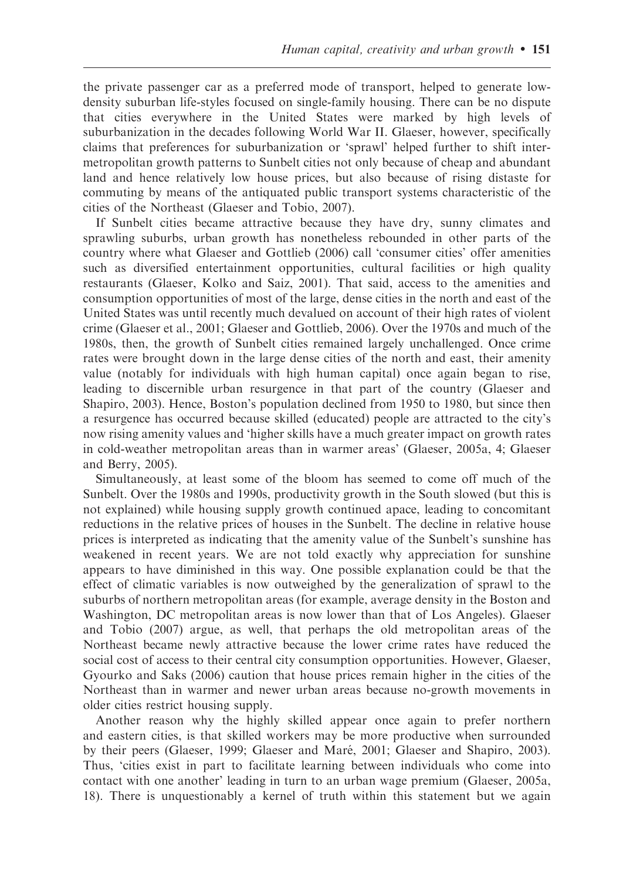the private passenger car as a preferred mode of transport, helped to generate lowdensity suburban life-styles focused on single-family housing. There can be no dispute that cities everywhere in the United States were marked by high levels of suburbanization in the decades following World War II. Glaeser, however, specifically claims that preferences for suburbanization or 'sprawl' helped further to shift intermetropolitan growth patterns to Sunbelt cities not only because of cheap and abundant land and hence relatively low house prices, but also because of rising distaste for commuting by means of the antiquated public transport systems characteristic of the cities of the Northeast (Glaeser and Tobio, 2007).

If Sunbelt cities became attractive because they have dry, sunny climates and sprawling suburbs, urban growth has nonetheless rebounded in other parts of the country where what Glaeser and Gottlieb (2006) call 'consumer cities' offer amenities such as diversified entertainment opportunities, cultural facilities or high quality restaurants (Glaeser, Kolko and Saiz, 2001). That said, access to the amenities and consumption opportunities of most of the large, dense cities in the north and east of the United States was until recently much devalued on account of their high rates of violent crime (Glaeser et al., 2001; Glaeser and Gottlieb, 2006). Over the 1970s and much of the 1980s, then, the growth of Sunbelt cities remained largely unchallenged. Once crime rates were brought down in the large dense cities of the north and east, their amenity value (notably for individuals with high human capital) once again began to rise, leading to discernible urban resurgence in that part of the country (Glaeser and Shapiro, 2003). Hence, Boston's population declined from 1950 to 1980, but since then a resurgence has occurred because skilled (educated) people are attracted to the city's now rising amenity values and 'higher skills have a much greater impact on growth rates in cold-weather metropolitan areas than in warmer areas' (Glaeser, 2005a, 4; Glaeser and Berry, 2005).

Simultaneously, at least some of the bloom has seemed to come off much of the Sunbelt. Over the 1980s and 1990s, productivity growth in the South slowed (but this is not explained) while housing supply growth continued apace, leading to concomitant reductions in the relative prices of houses in the Sunbelt. The decline in relative house prices is interpreted as indicating that the amenity value of the Sunbelt's sunshine has weakened in recent years. We are not told exactly why appreciation for sunshine appears to have diminished in this way. One possible explanation could be that the effect of climatic variables is now outweighed by the generalization of sprawl to the suburbs of northern metropolitan areas (for example, average density in the Boston and Washington, DC metropolitan areas is now lower than that of Los Angeles). Glaeser and Tobio (2007) argue, as well, that perhaps the old metropolitan areas of the Northeast became newly attractive because the lower crime rates have reduced the social cost of access to their central city consumption opportunities. However, Glaeser, Gyourko and Saks (2006) caution that house prices remain higher in the cities of the Northeast than in warmer and newer urban areas because no-growth movements in older cities restrict housing supply.

Another reason why the highly skilled appear once again to prefer northern and eastern cities, is that skilled workers may be more productive when surrounded by their peers (Glaeser, 1999; Glaeser and Maré, 2001; Glaeser and Shapiro, 2003). Thus, 'cities exist in part to facilitate learning between individuals who come into contact with one another' leading in turn to an urban wage premium (Glaeser, 2005a, 18). There is unquestionably a kernel of truth within this statement but we again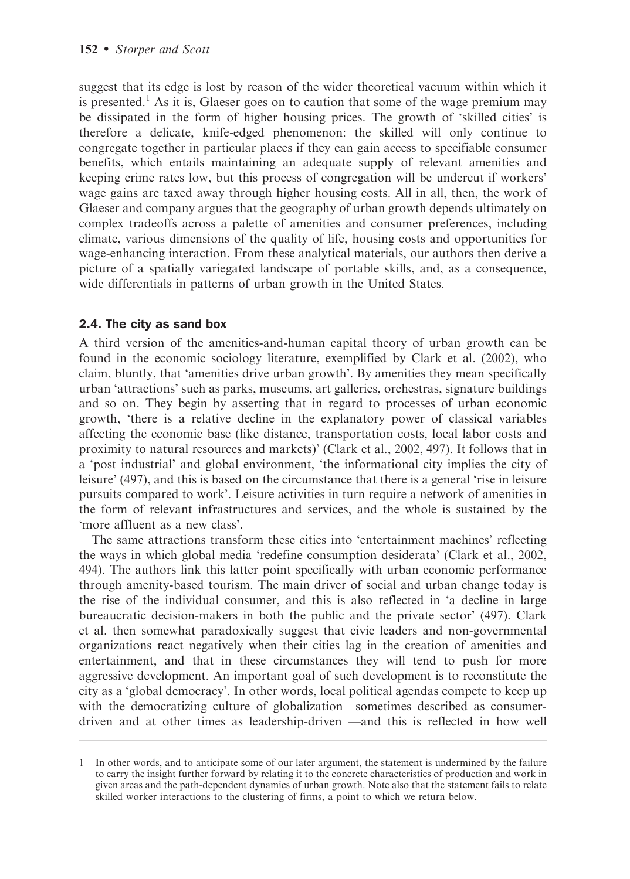suggest that its edge is lost by reason of the wider theoretical vacuum within which it is presented.<sup>1</sup> As it is, Glaeser goes on to caution that some of the wage premium may be dissipated in the form of higher housing prices. The growth of 'skilled cities' is therefore a delicate, knife-edged phenomenon: the skilled will only continue to congregate together in particular places if they can gain access to specifiable consumer benefits, which entails maintaining an adequate supply of relevant amenities and keeping crime rates low, but this process of congregation will be undercut if workers' wage gains are taxed away through higher housing costs. All in all, then, the work of Glaeser and company argues that the geography of urban growth depends ultimately on complex tradeoffs across a palette of amenities and consumer preferences, including climate, various dimensions of the quality of life, housing costs and opportunities for wage-enhancing interaction. From these analytical materials, our authors then derive a picture of a spatially variegated landscape of portable skills, and, as a consequence, wide differentials in patterns of urban growth in the United States.

### 2.4. The city as sand box

A third version of the amenities-and-human capital theory of urban growth can be found in the economic sociology literature, exemplified by Clark et al. (2002), who claim, bluntly, that 'amenities drive urban growth'. By amenities they mean specifically urban 'attractions' such as parks, museums, art galleries, orchestras, signature buildings and so on. They begin by asserting that in regard to processes of urban economic growth, 'there is a relative decline in the explanatory power of classical variables affecting the economic base (like distance, transportation costs, local labor costs and proximity to natural resources and markets)' (Clark et al., 2002, 497). It follows that in a 'post industrial' and global environment, 'the informational city implies the city of leisure' (497), and this is based on the circumstance that there is a general 'rise in leisure pursuits compared to work'. Leisure activities in turn require a network of amenities in the form of relevant infrastructures and services, and the whole is sustained by the 'more affluent as a new class'.

The same attractions transform these cities into 'entertainment machines' reflecting the ways in which global media 'redefine consumption desiderata' (Clark et al., 2002, 494). The authors link this latter point specifically with urban economic performance through amenity-based tourism. The main driver of social and urban change today is the rise of the individual consumer, and this is also reflected in 'a decline in large bureaucratic decision-makers in both the public and the private sector' (497). Clark et al. then somewhat paradoxically suggest that civic leaders and non-governmental organizations react negatively when their cities lag in the creation of amenities and entertainment, and that in these circumstances they will tend to push for more aggressive development. An important goal of such development is to reconstitute the city as a 'global democracy'. In other words, local political agendas compete to keep up with the democratizing culture of globalization—sometimes described as consumerdriven and at other times as leadership-driven —and this is reflected in how well

<sup>1</sup> In other words, and to anticipate some of our later argument, the statement is undermined by the failure to carry the insight further forward by relating it to the concrete characteristics of production and work in given areas and the path-dependent dynamics of urban growth. Note also that the statement fails to relate skilled worker interactions to the clustering of firms, a point to which we return below.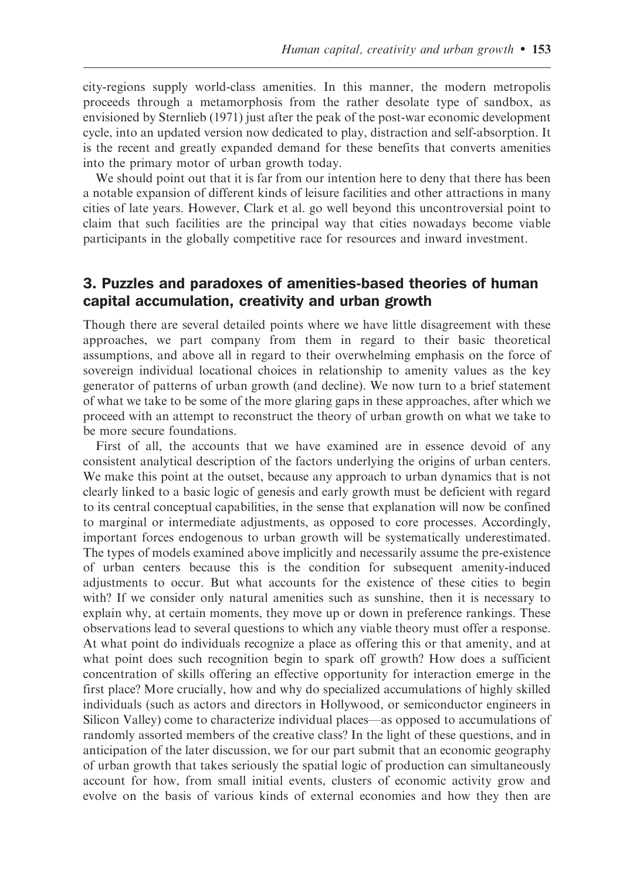city-regions supply world-class amenities. In this manner, the modern metropolis proceeds through a metamorphosis from the rather desolate type of sandbox, as envisioned by Sternlieb (1971) just after the peak of the post-war economic development cycle, into an updated version now dedicated to play, distraction and self-absorption. It is the recent and greatly expanded demand for these benefits that converts amenities into the primary motor of urban growth today.

We should point out that it is far from our intention here to deny that there has been a notable expansion of different kinds of leisure facilities and other attractions in many cities of late years. However, Clark et al. go well beyond this uncontroversial point to claim that such facilities are the principal way that cities nowadays become viable participants in the globally competitive race for resources and inward investment.

# 3. Puzzles and paradoxes of amenities-based theories of human capital accumulation, creativity and urban growth

Though there are several detailed points where we have little disagreement with these approaches, we part company from them in regard to their basic theoretical assumptions, and above all in regard to their overwhelming emphasis on the force of sovereign individual locational choices in relationship to amenity values as the key generator of patterns of urban growth (and decline). We now turn to a brief statement of what we take to be some of the more glaring gaps in these approaches, after which we proceed with an attempt to reconstruct the theory of urban growth on what we take to be more secure foundations.

First of all, the accounts that we have examined are in essence devoid of any consistent analytical description of the factors underlying the origins of urban centers. We make this point at the outset, because any approach to urban dynamics that is not clearly linked to a basic logic of genesis and early growth must be deficient with regard to its central conceptual capabilities, in the sense that explanation will now be confined to marginal or intermediate adjustments, as opposed to core processes. Accordingly, important forces endogenous to urban growth will be systematically underestimated. The types of models examined above implicitly and necessarily assume the pre-existence of urban centers because this is the condition for subsequent amenity-induced adjustments to occur. But what accounts for the existence of these cities to begin with? If we consider only natural amenities such as sunshine, then it is necessary to explain why, at certain moments, they move up or down in preference rankings. These observations lead to several questions to which any viable theory must offer a response. At what point do individuals recognize a place as offering this or that amenity, and at what point does such recognition begin to spark off growth? How does a sufficient concentration of skills offering an effective opportunity for interaction emerge in the first place? More crucially, how and why do specialized accumulations of highly skilled individuals (such as actors and directors in Hollywood, or semiconductor engineers in Silicon Valley) come to characterize individual places—as opposed to accumulations of randomly assorted members of the creative class? In the light of these questions, and in anticipation of the later discussion, we for our part submit that an economic geography of urban growth that takes seriously the spatial logic of production can simultaneously account for how, from small initial events, clusters of economic activity grow and evolve on the basis of various kinds of external economies and how they then are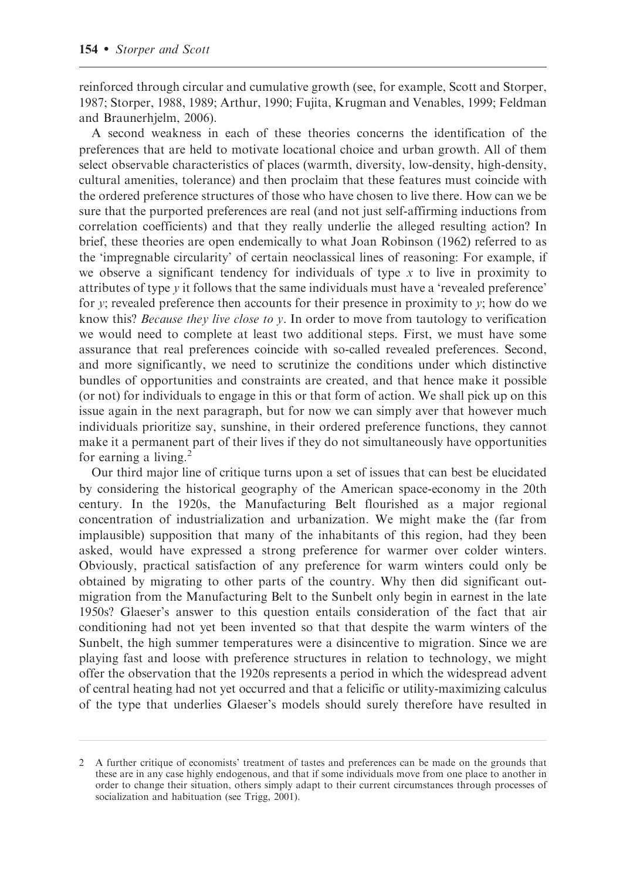reinforced through circular and cumulative growth (see, for example, Scott and Storper, 1987; Storper, 1988, 1989; Arthur, 1990; Fujita, Krugman and Venables, 1999; Feldman and Braunerhjelm, 2006).

A second weakness in each of these theories concerns the identification of the preferences that are held to motivate locational choice and urban growth. All of them select observable characteristics of places (warmth, diversity, low-density, high-density, cultural amenities, tolerance) and then proclaim that these features must coincide with the ordered preference structures of those who have chosen to live there. How can we be sure that the purported preferences are real (and not just self-affirming inductions from correlation coefficients) and that they really underlie the alleged resulting action? In brief, these theories are open endemically to what Joan Robinson (1962) referred to as the 'impregnable circularity' of certain neoclassical lines of reasoning: For example, if we observe a significant tendency for individuals of type  $x$  to live in proximity to attributes of type  $\gamma$  it follows that the same individuals must have a 'revealed preference' for  $\psi$ ; revealed preference then accounts for their presence in proximity to  $\psi$ ; how do we know this? Because they live close to  $y$ . In order to move from tautology to verification we would need to complete at least two additional steps. First, we must have some assurance that real preferences coincide with so-called revealed preferences. Second, and more significantly, we need to scrutinize the conditions under which distinctive bundles of opportunities and constraints are created, and that hence make it possible (or not) for individuals to engage in this or that form of action. We shall pick up on this issue again in the next paragraph, but for now we can simply aver that however much individuals prioritize say, sunshine, in their ordered preference functions, they cannot make it a permanent part of their lives if they do not simultaneously have opportunities for earning a living.<sup>2</sup>

Our third major line of critique turns upon a set of issues that can best be elucidated by considering the historical geography of the American space-economy in the 20th century. In the 1920s, the Manufacturing Belt flourished as a major regional concentration of industrialization and urbanization. We might make the (far from implausible) supposition that many of the inhabitants of this region, had they been asked, would have expressed a strong preference for warmer over colder winters. Obviously, practical satisfaction of any preference for warm winters could only be obtained by migrating to other parts of the country. Why then did significant outmigration from the Manufacturing Belt to the Sunbelt only begin in earnest in the late 1950s? Glaeser's answer to this question entails consideration of the fact that air conditioning had not yet been invented so that that despite the warm winters of the Sunbelt, the high summer temperatures were a disincentive to migration. Since we are playing fast and loose with preference structures in relation to technology, we might offer the observation that the 1920s represents a period in which the widespread advent of central heating had not yet occurred and that a felicific or utility-maximizing calculus of the type that underlies Glaeser's models should surely therefore have resulted in

<sup>2</sup> A further critique of economists' treatment of tastes and preferences can be made on the grounds that these are in any case highly endogenous, and that if some individuals move from one place to another in order to change their situation, others simply adapt to their current circumstances through processes of socialization and habituation (see Trigg, 2001).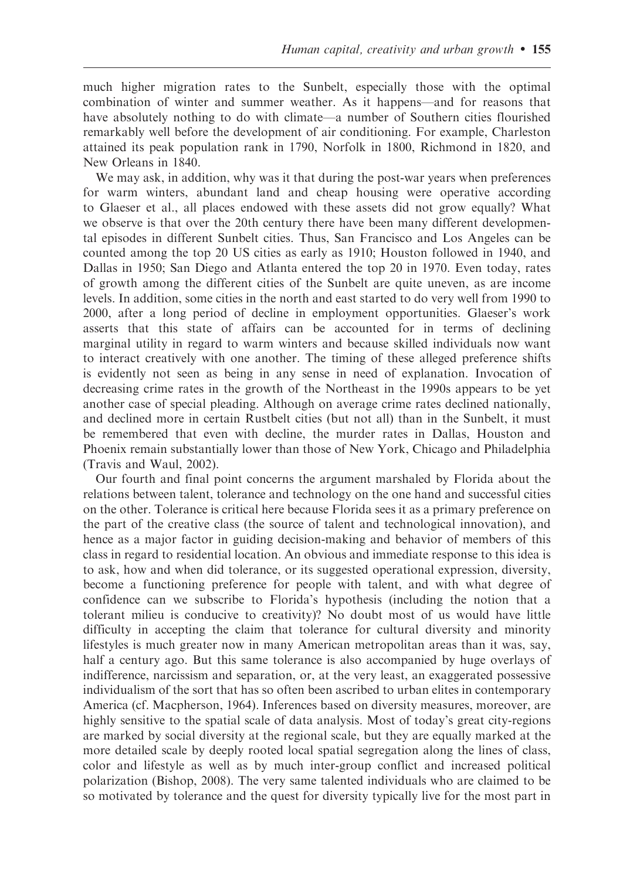much higher migration rates to the Sunbelt, especially those with the optimal combination of winter and summer weather. As it happens—and for reasons that have absolutely nothing to do with climate—a number of Southern cities flourished remarkably well before the development of air conditioning. For example, Charleston attained its peak population rank in 1790, Norfolk in 1800, Richmond in 1820, and New Orleans in 1840.

We may ask, in addition, why was it that during the post-war years when preferences for warm winters, abundant land and cheap housing were operative according to Glaeser et al., all places endowed with these assets did not grow equally? What we observe is that over the 20th century there have been many different developmental episodes in different Sunbelt cities. Thus, San Francisco and Los Angeles can be counted among the top 20 US cities as early as 1910; Houston followed in 1940, and Dallas in 1950; San Diego and Atlanta entered the top 20 in 1970. Even today, rates of growth among the different cities of the Sunbelt are quite uneven, as are income levels. In addition, some cities in the north and east started to do very well from 1990 to 2000, after a long period of decline in employment opportunities. Glaeser's work asserts that this state of affairs can be accounted for in terms of declining marginal utility in regard to warm winters and because skilled individuals now want to interact creatively with one another. The timing of these alleged preference shifts is evidently not seen as being in any sense in need of explanation. Invocation of decreasing crime rates in the growth of the Northeast in the 1990s appears to be yet another case of special pleading. Although on average crime rates declined nationally, and declined more in certain Rustbelt cities (but not all) than in the Sunbelt, it must be remembered that even with decline, the murder rates in Dallas, Houston and Phoenix remain substantially lower than those of New York, Chicago and Philadelphia (Travis and Waul, 2002).

Our fourth and final point concerns the argument marshaled by Florida about the relations between talent, tolerance and technology on the one hand and successful cities on the other. Tolerance is critical here because Florida sees it as a primary preference on the part of the creative class (the source of talent and technological innovation), and hence as a major factor in guiding decision-making and behavior of members of this class in regard to residential location. An obvious and immediate response to this idea is to ask, how and when did tolerance, or its suggested operational expression, diversity, become a functioning preference for people with talent, and with what degree of confidence can we subscribe to Florida's hypothesis (including the notion that a tolerant milieu is conducive to creativity)? No doubt most of us would have little difficulty in accepting the claim that tolerance for cultural diversity and minority lifestyles is much greater now in many American metropolitan areas than it was, say, half a century ago. But this same tolerance is also accompanied by huge overlays of indifference, narcissism and separation, or, at the very least, an exaggerated possessive individualism of the sort that has so often been ascribed to urban elites in contemporary America (cf. Macpherson, 1964). Inferences based on diversity measures, moreover, are highly sensitive to the spatial scale of data analysis. Most of today's great city-regions are marked by social diversity at the regional scale, but they are equally marked at the more detailed scale by deeply rooted local spatial segregation along the lines of class, color and lifestyle as well as by much inter-group conflict and increased political polarization (Bishop, 2008). The very same talented individuals who are claimed to be so motivated by tolerance and the quest for diversity typically live for the most part in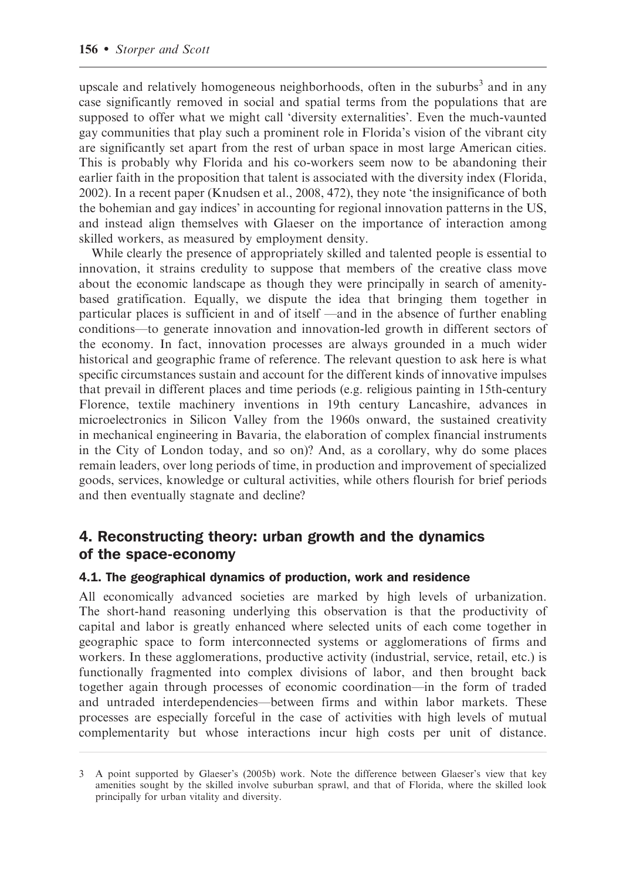upscale and relatively homogeneous neighborhoods, often in the suburbs<sup>3</sup> and in any case significantly removed in social and spatial terms from the populations that are supposed to offer what we might call 'diversity externalities'. Even the much-vaunted gay communities that play such a prominent role in Florida's vision of the vibrant city are significantly set apart from the rest of urban space in most large American cities. This is probably why Florida and his co-workers seem now to be abandoning their earlier faith in the proposition that talent is associated with the diversity index (Florida, 2002). In a recent paper (Knudsen et al., 2008, 472), they note 'the insignificance of both the bohemian and gay indices' in accounting for regional innovation patterns in the US, and instead align themselves with Glaeser on the importance of interaction among skilled workers, as measured by employment density.

While clearly the presence of appropriately skilled and talented people is essential to innovation, it strains credulity to suppose that members of the creative class move about the economic landscape as though they were principally in search of amenitybased gratification. Equally, we dispute the idea that bringing them together in particular places is sufficient in and of itself —and in the absence of further enabling conditions—to generate innovation and innovation-led growth in different sectors of the economy. In fact, innovation processes are always grounded in a much wider historical and geographic frame of reference. The relevant question to ask here is what specific circumstances sustain and account for the different kinds of innovative impulses that prevail in different places and time periods (e.g. religious painting in 15th-century Florence, textile machinery inventions in 19th century Lancashire, advances in microelectronics in Silicon Valley from the 1960s onward, the sustained creativity in mechanical engineering in Bavaria, the elaboration of complex financial instruments in the City of London today, and so on)? And, as a corollary, why do some places remain leaders, over long periods of time, in production and improvement of specialized goods, services, knowledge or cultural activities, while others flourish for brief periods and then eventually stagnate and decline?

# 4. Reconstructing theory: urban growth and the dynamics of the space-economy

#### 4.1. The geographical dynamics of production, work and residence

All economically advanced societies are marked by high levels of urbanization. The short-hand reasoning underlying this observation is that the productivity of capital and labor is greatly enhanced where selected units of each come together in geographic space to form interconnected systems or agglomerations of firms and workers. In these agglomerations, productive activity (industrial, service, retail, etc.) is functionally fragmented into complex divisions of labor, and then brought back together again through processes of economic coordination—in the form of traded and untraded interdependencies—between firms and within labor markets. These processes are especially forceful in the case of activities with high levels of mutual complementarity but whose interactions incur high costs per unit of distance.

<sup>3</sup> A point supported by Glaeser's (2005b) work. Note the difference between Glaeser's view that key amenities sought by the skilled involve suburban sprawl, and that of Florida, where the skilled look principally for urban vitality and diversity.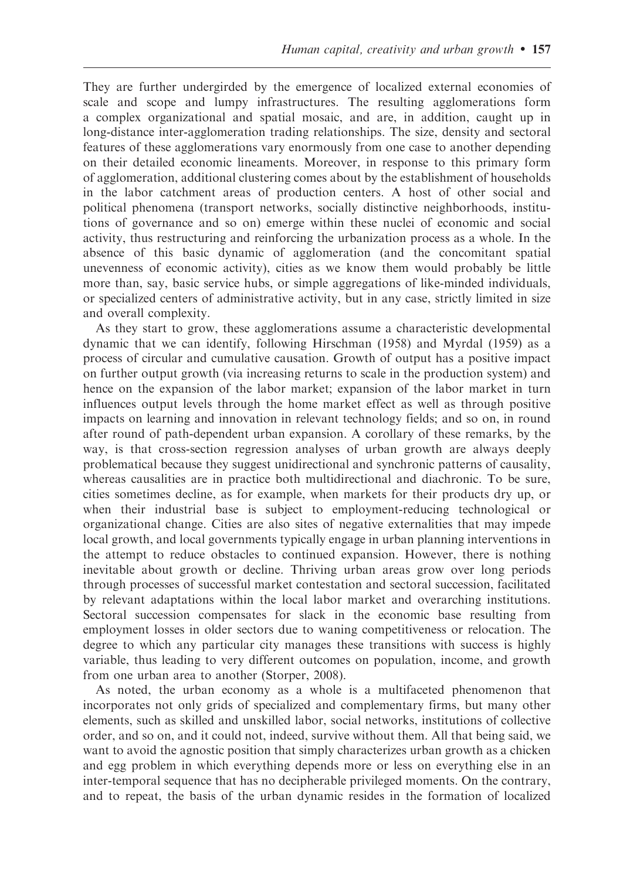They are further undergirded by the emergence of localized external economies of scale and scope and lumpy infrastructures. The resulting agglomerations form a complex organizational and spatial mosaic, and are, in addition, caught up in long-distance inter-agglomeration trading relationships. The size, density and sectoral features of these agglomerations vary enormously from one case to another depending on their detailed economic lineaments. Moreover, in response to this primary form of agglomeration, additional clustering comes about by the establishment of households in the labor catchment areas of production centers. A host of other social and political phenomena (transport networks, socially distinctive neighborhoods, institutions of governance and so on) emerge within these nuclei of economic and social activity, thus restructuring and reinforcing the urbanization process as a whole. In the absence of this basic dynamic of agglomeration (and the concomitant spatial unevenness of economic activity), cities as we know them would probably be little more than, say, basic service hubs, or simple aggregations of like-minded individuals, or specialized centers of administrative activity, but in any case, strictly limited in size and overall complexity.

As they start to grow, these agglomerations assume a characteristic developmental dynamic that we can identify, following Hirschman (1958) and Myrdal (1959) as a process of circular and cumulative causation. Growth of output has a positive impact on further output growth (via increasing returns to scale in the production system) and hence on the expansion of the labor market; expansion of the labor market in turn influences output levels through the home market effect as well as through positive impacts on learning and innovation in relevant technology fields; and so on, in round after round of path-dependent urban expansion. A corollary of these remarks, by the way, is that cross-section regression analyses of urban growth are always deeply problematical because they suggest unidirectional and synchronic patterns of causality, whereas causalities are in practice both multidirectional and diachronic. To be sure, cities sometimes decline, as for example, when markets for their products dry up, or when their industrial base is subject to employment-reducing technological or organizational change. Cities are also sites of negative externalities that may impede local growth, and local governments typically engage in urban planning interventions in the attempt to reduce obstacles to continued expansion. However, there is nothing inevitable about growth or decline. Thriving urban areas grow over long periods through processes of successful market contestation and sectoral succession, facilitated by relevant adaptations within the local labor market and overarching institutions. Sectoral succession compensates for slack in the economic base resulting from employment losses in older sectors due to waning competitiveness or relocation. The degree to which any particular city manages these transitions with success is highly variable, thus leading to very different outcomes on population, income, and growth from one urban area to another (Storper, 2008).

As noted, the urban economy as a whole is a multifaceted phenomenon that incorporates not only grids of specialized and complementary firms, but many other elements, such as skilled and unskilled labor, social networks, institutions of collective order, and so on, and it could not, indeed, survive without them. All that being said, we want to avoid the agnostic position that simply characterizes urban growth as a chicken and egg problem in which everything depends more or less on everything else in an inter-temporal sequence that has no decipherable privileged moments. On the contrary, and to repeat, the basis of the urban dynamic resides in the formation of localized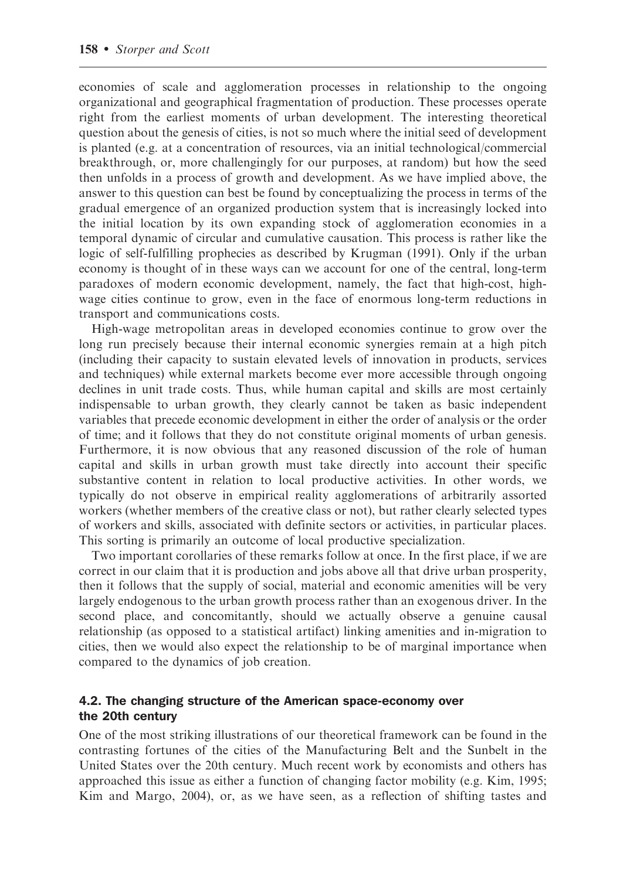economies of scale and agglomeration processes in relationship to the ongoing organizational and geographical fragmentation of production. These processes operate right from the earliest moments of urban development. The interesting theoretical question about the genesis of cities, is not so much where the initial seed of development is planted (e.g. at a concentration of resources, via an initial technological/commercial breakthrough, or, more challengingly for our purposes, at random) but how the seed then unfolds in a process of growth and development. As we have implied above, the answer to this question can best be found by conceptualizing the process in terms of the gradual emergence of an organized production system that is increasingly locked into the initial location by its own expanding stock of agglomeration economies in a temporal dynamic of circular and cumulative causation. This process is rather like the logic of self-fulfilling prophecies as described by Krugman (1991). Only if the urban economy is thought of in these ways can we account for one of the central, long-term paradoxes of modern economic development, namely, the fact that high-cost, highwage cities continue to grow, even in the face of enormous long-term reductions in transport and communications costs.

High-wage metropolitan areas in developed economies continue to grow over the long run precisely because their internal economic synergies remain at a high pitch (including their capacity to sustain elevated levels of innovation in products, services and techniques) while external markets become ever more accessible through ongoing declines in unit trade costs. Thus, while human capital and skills are most certainly indispensable to urban growth, they clearly cannot be taken as basic independent variables that precede economic development in either the order of analysis or the order of time; and it follows that they do not constitute original moments of urban genesis. Furthermore, it is now obvious that any reasoned discussion of the role of human capital and skills in urban growth must take directly into account their specific substantive content in relation to local productive activities. In other words, we typically do not observe in empirical reality agglomerations of arbitrarily assorted workers (whether members of the creative class or not), but rather clearly selected types of workers and skills, associated with definite sectors or activities, in particular places. This sorting is primarily an outcome of local productive specialization.

Two important corollaries of these remarks follow at once. In the first place, if we are correct in our claim that it is production and jobs above all that drive urban prosperity, then it follows that the supply of social, material and economic amenities will be very largely endogenous to the urban growth process rather than an exogenous driver. In the second place, and concomitantly, should we actually observe a genuine causal relationship (as opposed to a statistical artifact) linking amenities and in-migration to cities, then we would also expect the relationship to be of marginal importance when compared to the dynamics of job creation.

#### 4.2. The changing structure of the American space-economy over the 20th century

One of the most striking illustrations of our theoretical framework can be found in the contrasting fortunes of the cities of the Manufacturing Belt and the Sunbelt in the United States over the 20th century. Much recent work by economists and others has approached this issue as either a function of changing factor mobility (e.g. Kim, 1995; Kim and Margo, 2004), or, as we have seen, as a reflection of shifting tastes and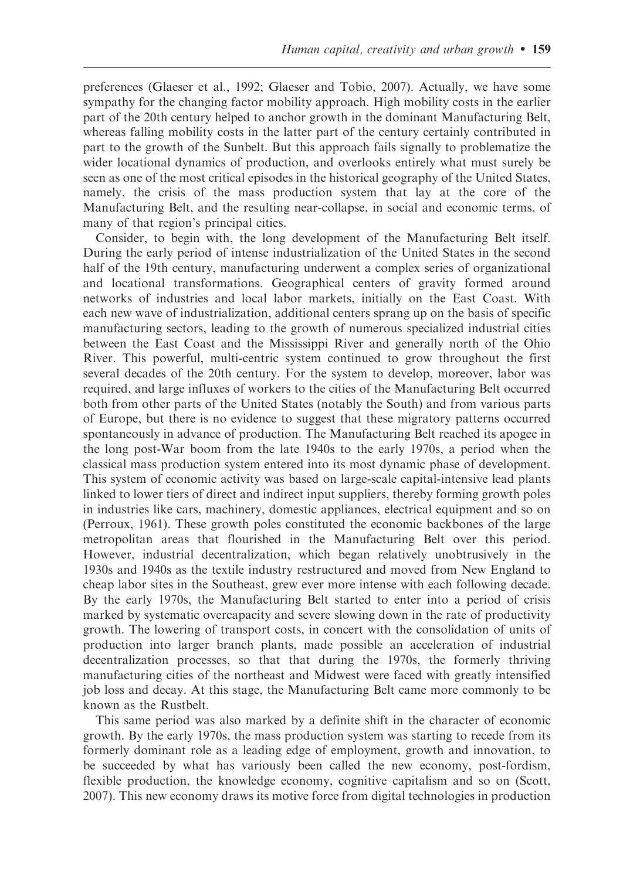preferences (Glaeser et al., 1992; Glaeser and Tobio, 2007). Actually, we have some sympathy for the changing factor mobility approach. High mobility costs in the earlier part of the 20th century helped to anchor growth in the dominant Manufacturing Belt, whereas falling mobility costs in the latter part of the century certainly contributed in part to the growth of the Sunbelt. But this approach fails signally to problematize the wider locational dynamics of production, and overlooks entirely what must surely be seen as one of the most critical episodes in the historical geography of the United States, namely, the crisis of the mass production system that lay at the core of the Manufacturing Belt, and the resulting near-collapse, in social and economic terms, of many of that region's principal cities.

Consider, to begin with, the long development of the Manufacturing Belt itself. During the early period of intense industrialization of the United States in the second half of the 19th century, manufacturing underwent a complex series of organizational and locational transformations. Geographical centers of gravity formed around networks of industries and local labor markets, initially on the East Coast. With each new wave of industrialization, additional centers sprang up on the basis of specific manufacturing sectors, leading to the growth of numerous specialized industrial cities between the East Coast and the Mississippi River and generally north of the Ohio River. This powerful, multi-centric system continued to grow throughout the first several decades of the 20th century. For the system to develop, moreover, labor was required, and large influxes of workers to the cities of the Manufacturing Belt occurred both from other parts of the United States (notably the South) and from various parts of Europe, but there is no evidence to suggest that these migratory patterns occurred spontaneously in advance of production. The Manufacturing Belt reached its apogee in the long post-War boom from the late 1940s to the early 1970s, a period when the classical mass production system entered into its most dynamic phase of development. This system of economic activity was based on large-scale capital-intensive lead plants linked to lower tiers of direct and indirect input suppliers, thereby forming growth poles in industries like cars, machinery, domestic appliances, electrical equipment and so on (Perroux, 1961). These growth poles constituted the economic backbones of the large metropolitan areas that flourished in the Manufacturing Belt over this period. However, industrial decentralization, which began relatively unobtrusively in the 1930s and 1940s as the textile industry restructured and moved from New England to cheap labor sites in the Southeast, grew ever more intense with each following decade. By the early 1970s, the Manufacturing Belt started to enter into a period of crisis marked by systematic overcapacity and severe slowing down in the rate of productivity growth. The lowering of transport costs, in concert with the consolidation of units of production into larger branch plants, made possible an acceleration of industrial decentralization processes, so that that during the 1970s, the formerly thriving manufacturing cities of the northeast and Midwest were faced with greatly intensified job loss and decay. At this stage, the Manufacturing Belt came more commonly to be known as the Rustbelt.

This same period was also marked by a definite shift in the character of economic growth. By the early 1970s, the mass production system was starting to recede from its formerly dominant role as a leading edge of employment, growth and innovation, to be succeeded by what has variously been called the new economy, post-fordism, flexible production, the knowledge economy, cognitive capitalism and so on (Scott, 2007). This new economy draws its motive force from digital technologies in production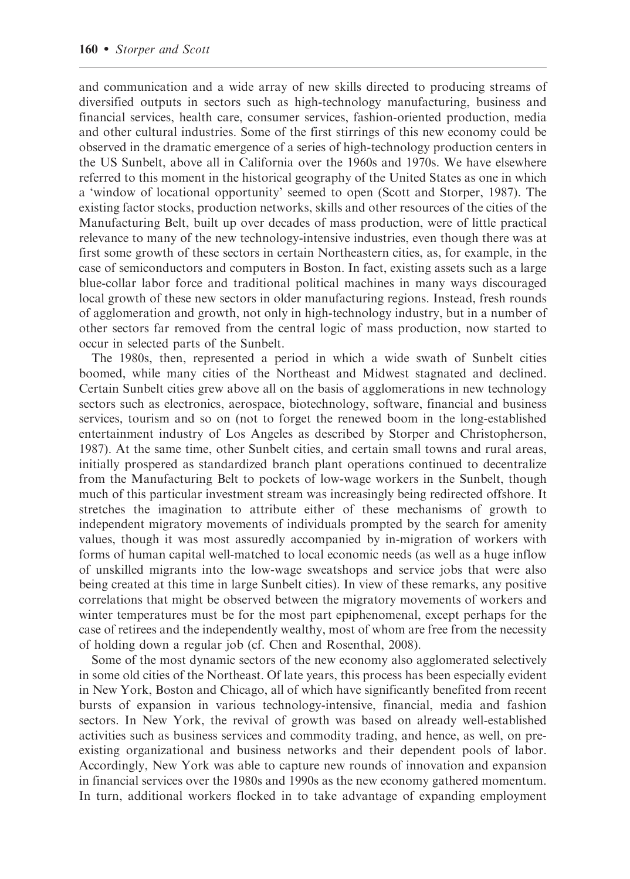and communication and a wide array of new skills directed to producing streams of diversified outputs in sectors such as high-technology manufacturing, business and financial services, health care, consumer services, fashion-oriented production, media and other cultural industries. Some of the first stirrings of this new economy could be observed in the dramatic emergence of a series of high-technology production centers in the US Sunbelt, above all in California over the 1960s and 1970s. We have elsewhere referred to this moment in the historical geography of the United States as one in which a 'window of locational opportunity' seemed to open (Scott and Storper, 1987). The existing factor stocks, production networks, skills and other resources of the cities of the Manufacturing Belt, built up over decades of mass production, were of little practical relevance to many of the new technology-intensive industries, even though there was at first some growth of these sectors in certain Northeastern cities, as, for example, in the case of semiconductors and computers in Boston. In fact, existing assets such as a large blue-collar labor force and traditional political machines in many ways discouraged local growth of these new sectors in older manufacturing regions. Instead, fresh rounds of agglomeration and growth, not only in high-technology industry, but in a number of other sectors far removed from the central logic of mass production, now started to occur in selected parts of the Sunbelt.

The 1980s, then, represented a period in which a wide swath of Sunbelt cities boomed, while many cities of the Northeast and Midwest stagnated and declined. Certain Sunbelt cities grew above all on the basis of agglomerations in new technology sectors such as electronics, aerospace, biotechnology, software, financial and business services, tourism and so on (not to forget the renewed boom in the long-established entertainment industry of Los Angeles as described by Storper and Christopherson, 1987). At the same time, other Sunbelt cities, and certain small towns and rural areas, initially prospered as standardized branch plant operations continued to decentralize from the Manufacturing Belt to pockets of low-wage workers in the Sunbelt, though much of this particular investment stream was increasingly being redirected offshore. It stretches the imagination to attribute either of these mechanisms of growth to independent migratory movements of individuals prompted by the search for amenity values, though it was most assuredly accompanied by in-migration of workers with forms of human capital well-matched to local economic needs (as well as a huge inflow of unskilled migrants into the low-wage sweatshops and service jobs that were also being created at this time in large Sunbelt cities). In view of these remarks, any positive correlations that might be observed between the migratory movements of workers and winter temperatures must be for the most part epiphenomenal, except perhaps for the case of retirees and the independently wealthy, most of whom are free from the necessity of holding down a regular job (cf. Chen and Rosenthal, 2008).

Some of the most dynamic sectors of the new economy also agglomerated selectively in some old cities of the Northeast. Of late years, this process has been especially evident in New York, Boston and Chicago, all of which have significantly benefited from recent bursts of expansion in various technology-intensive, financial, media and fashion sectors. In New York, the revival of growth was based on already well-established activities such as business services and commodity trading, and hence, as well, on preexisting organizational and business networks and their dependent pools of labor. Accordingly, New York was able to capture new rounds of innovation and expansion in financial services over the 1980s and 1990s as the new economy gathered momentum. In turn, additional workers flocked in to take advantage of expanding employment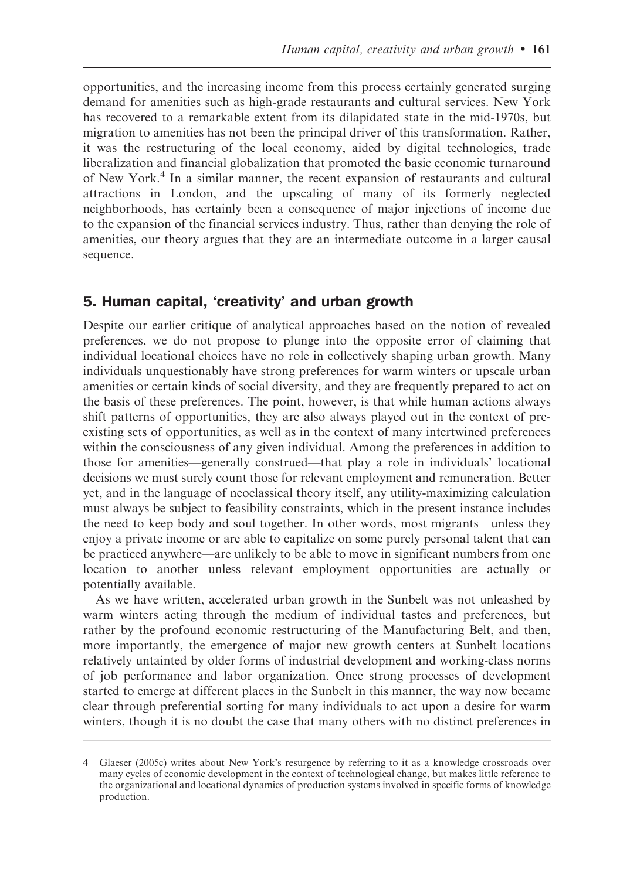opportunities, and the increasing income from this process certainly generated surging demand for amenities such as high-grade restaurants and cultural services. New York has recovered to a remarkable extent from its dilapidated state in the mid-1970s, but migration to amenities has not been the principal driver of this transformation. Rather, it was the restructuring of the local economy, aided by digital technologies, trade liberalization and financial globalization that promoted the basic economic turnaround of New York.<sup>4</sup> In a similar manner, the recent expansion of restaurants and cultural attractions in London, and the upscaling of many of its formerly neglected neighborhoods, has certainly been a consequence of major injections of income due to the expansion of the financial services industry. Thus, rather than denying the role of amenities, our theory argues that they are an intermediate outcome in a larger causal sequence.

# 5. Human capital, 'creativity' and urban growth

Despite our earlier critique of analytical approaches based on the notion of revealed preferences, we do not propose to plunge into the opposite error of claiming that individual locational choices have no role in collectively shaping urban growth. Many individuals unquestionably have strong preferences for warm winters or upscale urban amenities or certain kinds of social diversity, and they are frequently prepared to act on the basis of these preferences. The point, however, is that while human actions always shift patterns of opportunities, they are also always played out in the context of preexisting sets of opportunities, as well as in the context of many intertwined preferences within the consciousness of any given individual. Among the preferences in addition to those for amenities—generally construed—that play a role in individuals' locational decisions we must surely count those for relevant employment and remuneration. Better yet, and in the language of neoclassical theory itself, any utility-maximizing calculation must always be subject to feasibility constraints, which in the present instance includes the need to keep body and soul together. In other words, most migrants—unless they enjoy a private income or are able to capitalize on some purely personal talent that can be practiced anywhere—are unlikely to be able to move in significant numbers from one location to another unless relevant employment opportunities are actually or potentially available.

As we have written, accelerated urban growth in the Sunbelt was not unleashed by warm winters acting through the medium of individual tastes and preferences, but rather by the profound economic restructuring of the Manufacturing Belt, and then, more importantly, the emergence of major new growth centers at Sunbelt locations relatively untainted by older forms of industrial development and working-class norms of job performance and labor organization. Once strong processes of development started to emerge at different places in the Sunbelt in this manner, the way now became clear through preferential sorting for many individuals to act upon a desire for warm winters, though it is no doubt the case that many others with no distinct preferences in

<sup>4</sup> Glaeser (2005c) writes about New York's resurgence by referring to it as a knowledge crossroads over many cycles of economic development in the context of technological change, but makes little reference to the organizational and locational dynamics of production systems involved in specific forms of knowledge production.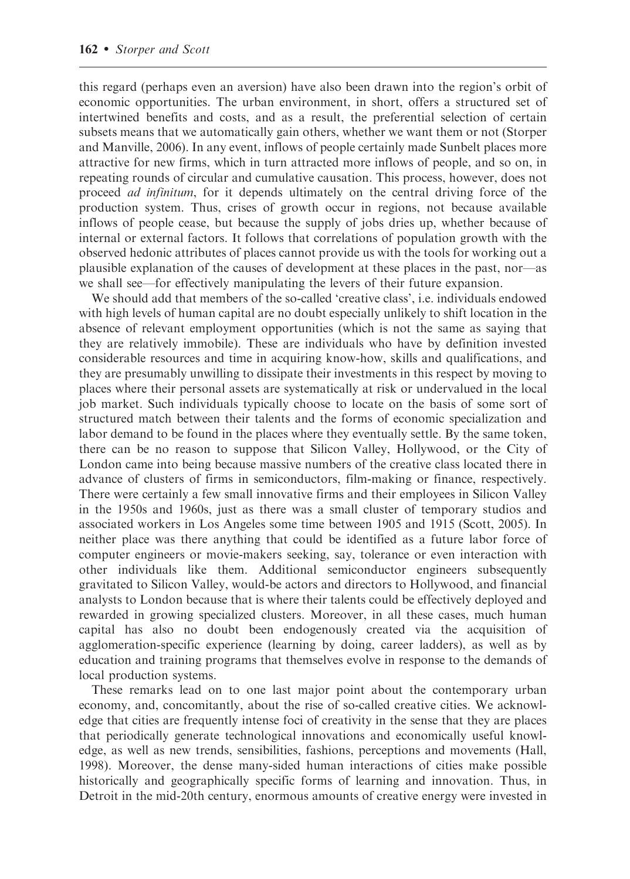this regard (perhaps even an aversion) have also been drawn into the region's orbit of economic opportunities. The urban environment, in short, offers a structured set of intertwined benefits and costs, and as a result, the preferential selection of certain subsets means that we automatically gain others, whether we want them or not (Storper and Manville, 2006). In any event, inflows of people certainly made Sunbelt places more attractive for new firms, which in turn attracted more inflows of people, and so on, in repeating rounds of circular and cumulative causation. This process, however, does not proceed ad infinitum, for it depends ultimately on the central driving force of the production system. Thus, crises of growth occur in regions, not because available inflows of people cease, but because the supply of jobs dries up, whether because of internal or external factors. It follows that correlations of population growth with the observed hedonic attributes of places cannot provide us with the tools for working out a plausible explanation of the causes of development at these places in the past, nor—as we shall see—for effectively manipulating the levers of their future expansion.

We should add that members of the so-called 'creative class', i.e. individuals endowed with high levels of human capital are no doubt especially unlikely to shift location in the absence of relevant employment opportunities (which is not the same as saying that they are relatively immobile). These are individuals who have by definition invested considerable resources and time in acquiring know-how, skills and qualifications, and they are presumably unwilling to dissipate their investments in this respect by moving to places where their personal assets are systematically at risk or undervalued in the local job market. Such individuals typically choose to locate on the basis of some sort of structured match between their talents and the forms of economic specialization and labor demand to be found in the places where they eventually settle. By the same token, there can be no reason to suppose that Silicon Valley, Hollywood, or the City of London came into being because massive numbers of the creative class located there in advance of clusters of firms in semiconductors, film-making or finance, respectively. There were certainly a few small innovative firms and their employees in Silicon Valley in the 1950s and 1960s, just as there was a small cluster of temporary studios and associated workers in Los Angeles some time between 1905 and 1915 (Scott, 2005). In neither place was there anything that could be identified as a future labor force of computer engineers or movie-makers seeking, say, tolerance or even interaction with other individuals like them. Additional semiconductor engineers subsequently gravitated to Silicon Valley, would-be actors and directors to Hollywood, and financial analysts to London because that is where their talents could be effectively deployed and rewarded in growing specialized clusters. Moreover, in all these cases, much human capital has also no doubt been endogenously created via the acquisition of agglomeration-specific experience (learning by doing, career ladders), as well as by education and training programs that themselves evolve in response to the demands of local production systems.

These remarks lead on to one last major point about the contemporary urban economy, and, concomitantly, about the rise of so-called creative cities. We acknowledge that cities are frequently intense foci of creativity in the sense that they are places that periodically generate technological innovations and economically useful knowledge, as well as new trends, sensibilities, fashions, perceptions and movements (Hall, 1998). Moreover, the dense many-sided human interactions of cities make possible historically and geographically specific forms of learning and innovation. Thus, in Detroit in the mid-20th century, enormous amounts of creative energy were invested in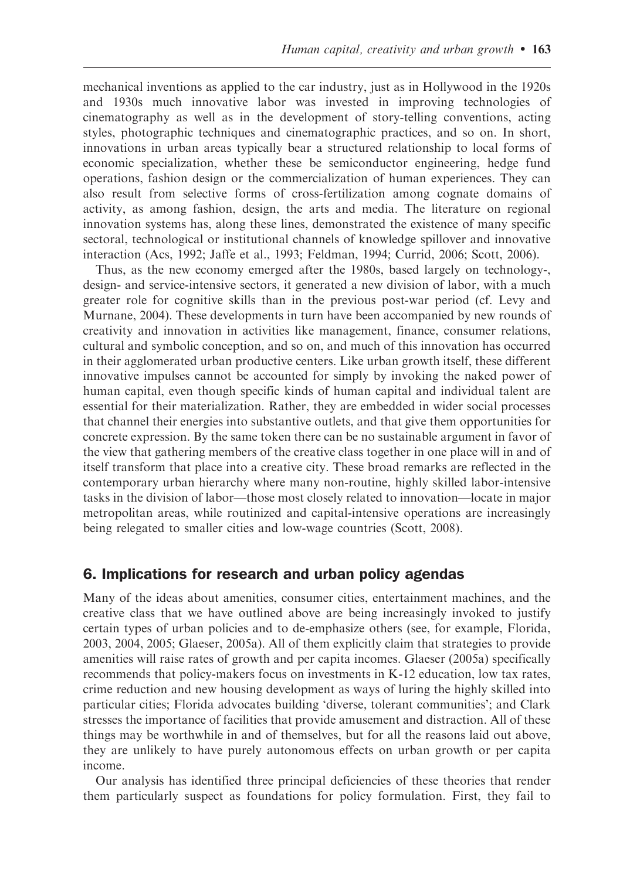mechanical inventions as applied to the car industry, just as in Hollywood in the 1920s and 1930s much innovative labor was invested in improving technologies of cinematography as well as in the development of story-telling conventions, acting styles, photographic techniques and cinematographic practices, and so on. In short, innovations in urban areas typically bear a structured relationship to local forms of economic specialization, whether these be semiconductor engineering, hedge fund operations, fashion design or the commercialization of human experiences. They can also result from selective forms of cross-fertilization among cognate domains of activity, as among fashion, design, the arts and media. The literature on regional innovation systems has, along these lines, demonstrated the existence of many specific sectoral, technological or institutional channels of knowledge spillover and innovative interaction (Acs, 1992; Jaffe et al., 1993; Feldman, 1994; Currid, 2006; Scott, 2006).

Thus, as the new economy emerged after the 1980s, based largely on technology-, design- and service-intensive sectors, it generated a new division of labor, with a much greater role for cognitive skills than in the previous post-war period (cf. Levy and Murnane, 2004). These developments in turn have been accompanied by new rounds of creativity and innovation in activities like management, finance, consumer relations, cultural and symbolic conception, and so on, and much of this innovation has occurred in their agglomerated urban productive centers. Like urban growth itself, these different innovative impulses cannot be accounted for simply by invoking the naked power of human capital, even though specific kinds of human capital and individual talent are essential for their materialization. Rather, they are embedded in wider social processes that channel their energies into substantive outlets, and that give them opportunities for concrete expression. By the same token there can be no sustainable argument in favor of the view that gathering members of the creative class together in one place will in and of itself transform that place into a creative city. These broad remarks are reflected in the contemporary urban hierarchy where many non-routine, highly skilled labor-intensive tasks in the division of labor—those most closely related to innovation—locate in major metropolitan areas, while routinized and capital-intensive operations are increasingly being relegated to smaller cities and low-wage countries (Scott, 2008).

### 6. Implications for research and urban policy agendas

Many of the ideas about amenities, consumer cities, entertainment machines, and the creative class that we have outlined above are being increasingly invoked to justify certain types of urban policies and to de-emphasize others (see, for example, Florida, 2003, 2004, 2005; Glaeser, 2005a). All of them explicitly claim that strategies to provide amenities will raise rates of growth and per capita incomes. Glaeser (2005a) specifically recommends that policy-makers focus on investments in K-12 education, low tax rates, crime reduction and new housing development as ways of luring the highly skilled into particular cities; Florida advocates building 'diverse, tolerant communities'; and Clark stresses the importance of facilities that provide amusement and distraction. All of these things may be worthwhile in and of themselves, but for all the reasons laid out above, they are unlikely to have purely autonomous effects on urban growth or per capita income.

Our analysis has identified three principal deficiencies of these theories that render them particularly suspect as foundations for policy formulation. First, they fail to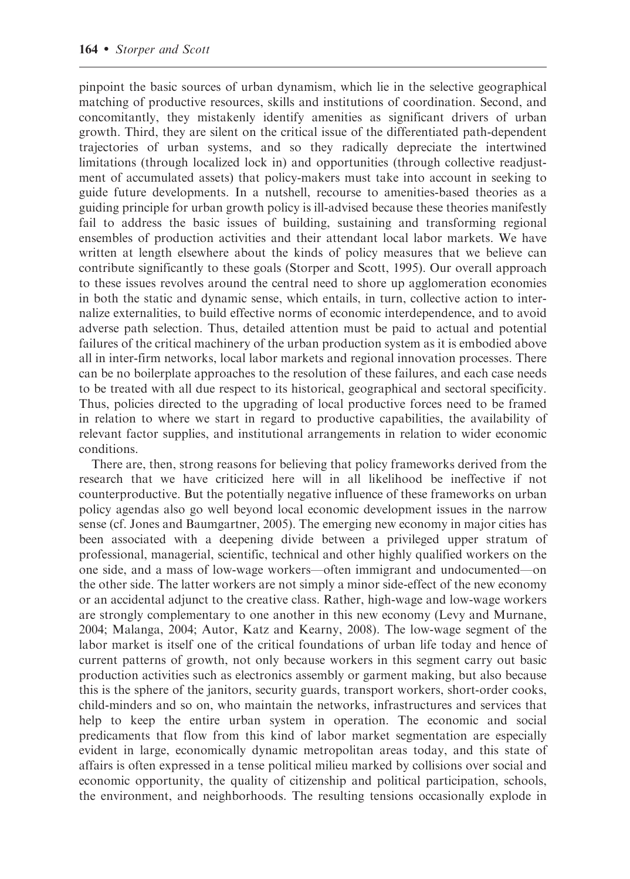pinpoint the basic sources of urban dynamism, which lie in the selective geographical matching of productive resources, skills and institutions of coordination. Second, and concomitantly, they mistakenly identify amenities as significant drivers of urban growth. Third, they are silent on the critical issue of the differentiated path-dependent trajectories of urban systems, and so they radically depreciate the intertwined limitations (through localized lock in) and opportunities (through collective readjustment of accumulated assets) that policy-makers must take into account in seeking to guide future developments. In a nutshell, recourse to amenities-based theories as a guiding principle for urban growth policy is ill-advised because these theories manifestly fail to address the basic issues of building, sustaining and transforming regional ensembles of production activities and their attendant local labor markets. We have written at length elsewhere about the kinds of policy measures that we believe can contribute significantly to these goals (Storper and Scott, 1995). Our overall approach to these issues revolves around the central need to shore up agglomeration economies in both the static and dynamic sense, which entails, in turn, collective action to internalize externalities, to build effective norms of economic interdependence, and to avoid adverse path selection. Thus, detailed attention must be paid to actual and potential failures of the critical machinery of the urban production system as it is embodied above all in inter-firm networks, local labor markets and regional innovation processes. There can be no boilerplate approaches to the resolution of these failures, and each case needs to be treated with all due respect to its historical, geographical and sectoral specificity. Thus, policies directed to the upgrading of local productive forces need to be framed in relation to where we start in regard to productive capabilities, the availability of relevant factor supplies, and institutional arrangements in relation to wider economic conditions.

There are, then, strong reasons for believing that policy frameworks derived from the research that we have criticized here will in all likelihood be ineffective if not counterproductive. But the potentially negative influence of these frameworks on urban policy agendas also go well beyond local economic development issues in the narrow sense (cf. Jones and Baumgartner, 2005). The emerging new economy in major cities has been associated with a deepening divide between a privileged upper stratum of professional, managerial, scientific, technical and other highly qualified workers on the one side, and a mass of low-wage workers—often immigrant and undocumented—on the other side. The latter workers are not simply a minor side-effect of the new economy or an accidental adjunct to the creative class. Rather, high-wage and low-wage workers are strongly complementary to one another in this new economy (Levy and Murnane, 2004; Malanga, 2004; Autor, Katz and Kearny, 2008). The low-wage segment of the labor market is itself one of the critical foundations of urban life today and hence of current patterns of growth, not only because workers in this segment carry out basic production activities such as electronics assembly or garment making, but also because this is the sphere of the janitors, security guards, transport workers, short-order cooks, child-minders and so on, who maintain the networks, infrastructures and services that help to keep the entire urban system in operation. The economic and social predicaments that flow from this kind of labor market segmentation are especially evident in large, economically dynamic metropolitan areas today, and this state of affairs is often expressed in a tense political milieu marked by collisions over social and economic opportunity, the quality of citizenship and political participation, schools, the environment, and neighborhoods. The resulting tensions occasionally explode in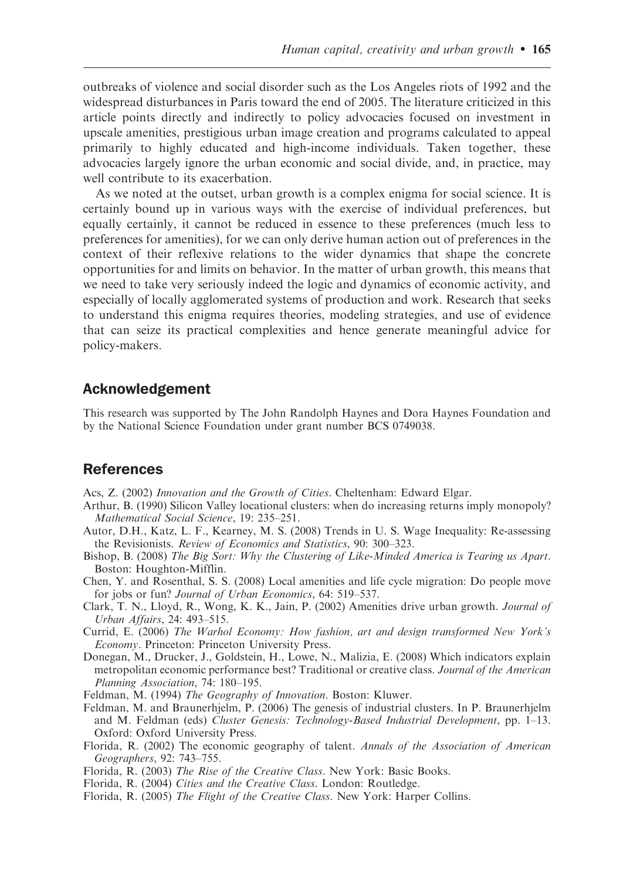outbreaks of violence and social disorder such as the Los Angeles riots of 1992 and the widespread disturbances in Paris toward the end of 2005. The literature criticized in this article points directly and indirectly to policy advocacies focused on investment in upscale amenities, prestigious urban image creation and programs calculated to appeal primarily to highly educated and high-income individuals. Taken together, these advocacies largely ignore the urban economic and social divide, and, in practice, may well contribute to its exacerbation.

As we noted at the outset, urban growth is a complex enigma for social science. It is certainly bound up in various ways with the exercise of individual preferences, but equally certainly, it cannot be reduced in essence to these preferences (much less to preferences for amenities), for we can only derive human action out of preferences in the context of their reflexive relations to the wider dynamics that shape the concrete opportunities for and limits on behavior. In the matter of urban growth, this means that we need to take very seriously indeed the logic and dynamics of economic activity, and especially of locally agglomerated systems of production and work. Research that seeks to understand this enigma requires theories, modeling strategies, and use of evidence that can seize its practical complexities and hence generate meaningful advice for policy-makers.

### Acknowledgement

This research was supported by The John Randolph Haynes and Dora Haynes Foundation and by the National Science Foundation under grant number BCS 0749038.

### References

- Acs, Z. (2002) Innovation and the Growth of Cities. Cheltenham: Edward Elgar.
- Arthur, B. (1990) Silicon Valley locational clusters: when do increasing returns imply monopoly? Mathematical Social Science, 19: 235–251.
- Autor, D.H., Katz, L. F., Kearney, M. S. (2008) Trends in U. S. Wage Inequality: Re-assessing the Revisionists. Review of Economics and Statistics, 90: 300–323.
- Bishop, B. (2008) The Big Sort: Why the Clustering of Like-Minded America is Tearing us Apart. Boston: Houghton-Mifflin.
- Chen, Y. and Rosenthal, S. S. (2008) Local amenities and life cycle migration: Do people move for jobs or fun? Journal of Urban Economics, 64: 519–537.
- Clark, T. N., Lloyd, R., Wong, K. K., Jain, P. (2002) Amenities drive urban growth. Journal of Urban Affairs, 24: 493–515.
- Currid, E. (2006) The Warhol Economy: How fashion, art and design transformed New York's Economy. Princeton: Princeton University Press.
- Donegan, M., Drucker, J., Goldstein, H., Lowe, N., Malizia, E. (2008) Which indicators explain metropolitan economic performance best? Traditional or creative class. Journal of the American Planning Association, 74: 180–195.
- Feldman, M. (1994) The Geography of Innovation. Boston: Kluwer.
- Feldman, M. and Braunerhjelm, P. (2006) The genesis of industrial clusters. In P. Braunerhjelm and M. Feldman (eds) Cluster Genesis: Technology-Based Industrial Development, pp. 1–13. Oxford: Oxford University Press.
- Florida, R. (2002) The economic geography of talent. Annals of the Association of American Geographers, 92: 743–755.
- Florida, R. (2003) The Rise of the Creative Class. New York: Basic Books.
- Florida, R. (2004) Cities and the Creative Class. London: Routledge.
- Florida, R. (2005) The Flight of the Creative Class. New York: Harper Collins.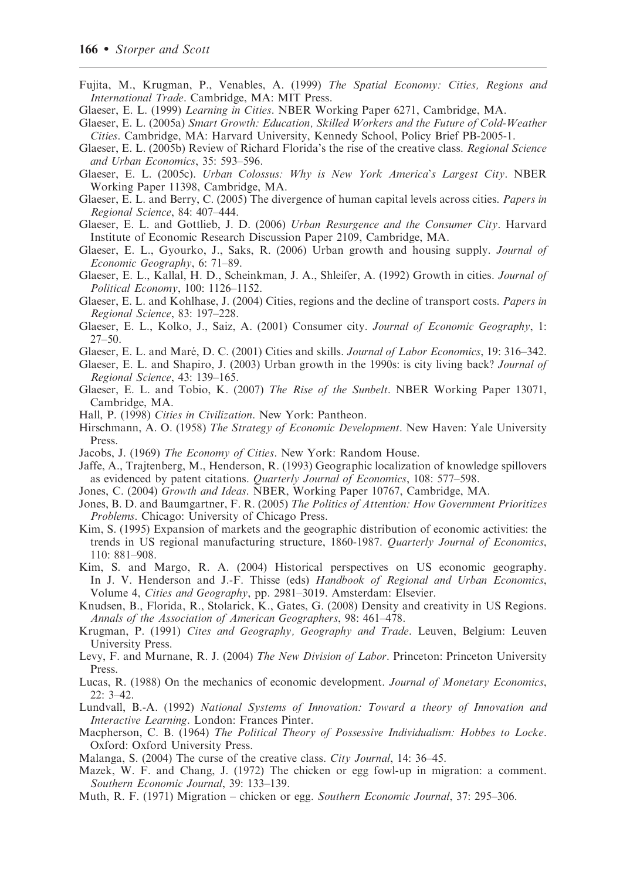- Fujita, M., Krugman, P., Venables, A. (1999) The Spatial Economy: Cities, Regions and International Trade. Cambridge, MA: MIT Press.
- Glaeser, E. L. (1999) Learning in Cities. NBER Working Paper 6271, Cambridge, MA.
- Glaeser, E. L. (2005a) Smart Growth: Education, Skilled Workers and the Future of Cold-Weather Cities. Cambridge, MA: Harvard University, Kennedy School, Policy Brief PB-2005-1.
- Glaeser, E. L. (2005b) Review of Richard Florida's the rise of the creative class. Regional Science and Urban Economics, 35: 593–596.
- Glaeser, E. L. (2005c). Urban Colossus: Why is New York America's Largest City. NBER Working Paper 11398, Cambridge, MA.
- Glaeser, E. L. and Berry, C. (2005) The divergence of human capital levels across cities. Papers in Regional Science, 84: 407–444.
- Glaeser, E. L. and Gottlieb, J. D. (2006) Urban Resurgence and the Consumer City. Harvard Institute of Economic Research Discussion Paper 2109, Cambridge, MA.
- Glaeser, E. L., Gyourko, J., Saks, R. (2006) Urban growth and housing supply. Journal of Economic Geography, 6: 71–89.
- Glaeser, E. L., Kallal, H. D., Scheinkman, J. A., Shleifer, A. (1992) Growth in cities. Journal of Political Economy, 100: 1126–1152.
- Glaeser, E. L. and Kohlhase, J. (2004) Cities, regions and the decline of transport costs. *Papers in* Regional Science, 83: 197–228.
- Glaeser, E. L., Kolko, J., Saiz, A. (2001) Consumer city. Journal of Economic Geography, 1: 27–50.
- Glaeser, E. L. and Maré, D. C. (2001) Cities and skills. Journal of Labor Economics, 19: 316–342.
- Glaeser, E. L. and Shapiro, J. (2003) Urban growth in the 1990s: is city living back? Journal of Regional Science, 43: 139–165.
- Glaeser, E. L. and Tobio, K. (2007) The Rise of the Sunbelt. NBER Working Paper 13071, Cambridge, MA.
- Hall, P. (1998) Cities in Civilization. New York: Pantheon.
- Hirschmann, A. O. (1958) The Strategy of Economic Development. New Haven: Yale University Press.
- Jacobs, J. (1969) The Economy of Cities. New York: Random House.
- Jaffe, A., Trajtenberg, M., Henderson, R. (1993) Geographic localization of knowledge spillovers as evidenced by patent citations. Quarterly Journal of Economics, 108: 577–598.
- Jones, C. (2004) Growth and Ideas. NBER, Working Paper 10767, Cambridge, MA.
- Jones, B. D. and Baumgartner, F. R. (2005) The Politics of Attention: How Government Prioritizes Problems. Chicago: University of Chicago Press.
- Kim, S. (1995) Expansion of markets and the geographic distribution of economic activities: the trends in US regional manufacturing structure, 1860-1987. Quarterly Journal of Economics, 110: 881–908.
- Kim, S. and Margo, R. A. (2004) Historical perspectives on US economic geography. In J. V. Henderson and J.-F. Thisse (eds) Handbook of Regional and Urban Economics, Volume 4, Cities and Geography, pp. 2981–3019. Amsterdam: Elsevier.
- Knudsen, B., Florida, R., Stolarick, K., Gates, G. (2008) Density and creativity in US Regions. Annals of the Association of American Geographers, 98: 461–478.
- Krugman, P. (1991) Cites and Geography, Geography and Trade. Leuven, Belgium: Leuven University Press.
- Levy, F. and Murnane, R. J. (2004) The New Division of Labor. Princeton: Princeton University Press.
- Lucas, R. (1988) On the mechanics of economic development. Journal of Monetary Economics, 22: 3–42.
- Lundvall, B.-A. (1992) National Systems of Innovation: Toward a theory of Innovation and Interactive Learning. London: Frances Pinter.
- Macpherson, C. B. (1964) The Political Theory of Possessive Individualism: Hobbes to Locke. Oxford: Oxford University Press.
- Malanga, S. (2004) The curse of the creative class. City Journal, 14: 36–45.
- Mazek, W. F. and Chang, J. (1972) The chicken or egg fowl-up in migration: a comment. Southern Economic Journal, 39: 133–139.
- Muth, R. F. (1971) Migration chicken or egg. Southern Economic Journal, 37: 295–306.